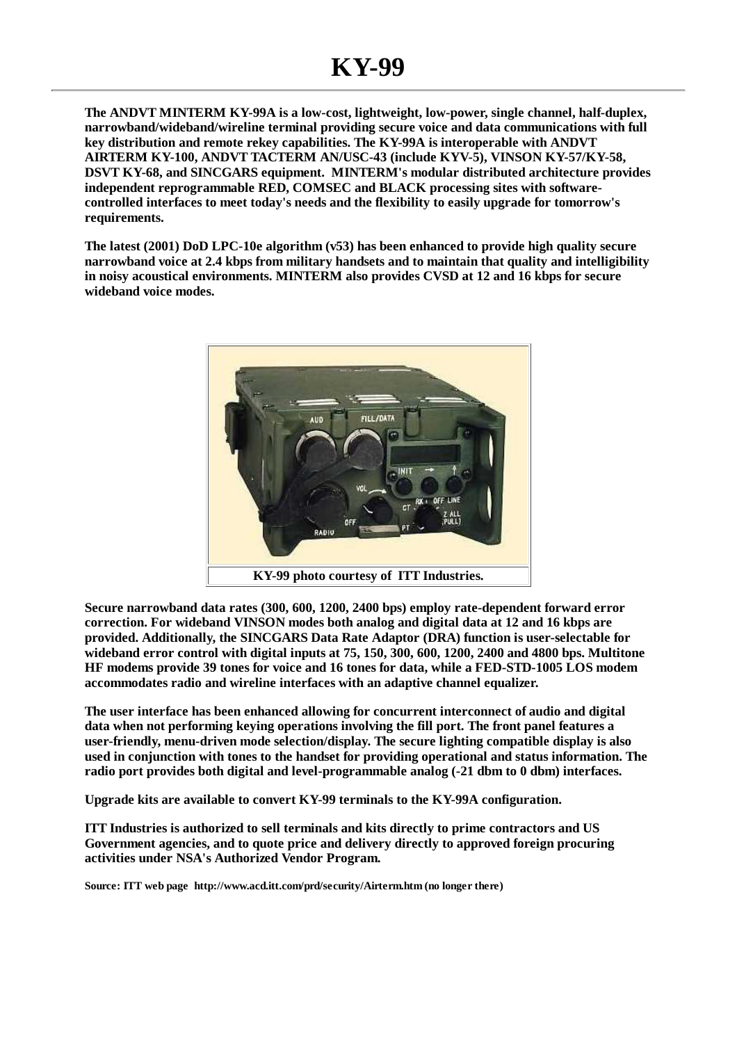**The ANDVT MINTERM KY-99A is a low-cost, lightweight, low-power, single channel, half-duplex, narrowband/wideband/wireline terminal providing secure voice and data communications with full key distribution and remote rekey capabilities. The KY-99A is interoperable with ANDVT AIRTERM KY-100, ANDVT TACTERM AN/USC-43 (include KYV-5), VINSON KY-57/KY-58, DSVT KY-68, and SINCGARS equipment. MINTERM's modular distributed architecture provides independent reprogrammable RED, COMSEC and BLACK processing sites with softwarecontrolled interfaces to meet today's needs and the flexibility to easily upgrade for tomorrow's requirements.**

**The latest (2001) DoD LPC-10e algorithm (v53) has been enhanced to provide high quality secure narrowband voice at 2.4 kbps from military handsets and to maintain that quality and intelligibility in noisy acoustical environments. MINTERM also provides CVSD at 12 and 16 kbps for secure wideband voice modes.**



**Secure narrowband data rates (300, 600, 1200, 2400 bps) employ rate-dependent forward error correction. For wideband VINSON modes both analog and digital data at 12 and 16 kbps are provided. Additionally, the SINCGARS Data Rate Adaptor (DRA) function is user-selectable for wideband error control with digital inputs at 75, 150, 300, 600, 1200, 2400 and 4800 bps. Multitone HF modems provide 39 tones for voice and 16 tones for data, while a FED-STD-1005 LOS modem accommodates radio and wireline interfaces with an adaptive channel equalizer.**

**The user interface has been enhanced allowing for concurrent interconnect of audio and digital data when not performing keying operations involving the fill port. The front panel features a user-friendly, menu-driven mode selection/display. The secure lighting compatible display is also used in conjunction with tones to the handset for providing operational and status information. The radio port provides both digital and level-programmable analog (-21 dbm to 0 dbm) interfaces.**

**Upgrade kits are available to convert KY-99 terminals to the KY-99A configuration.**

**ITT Industries is authorized to sell terminals and kits directly to prime contractors and US Government agencies, and to quote price and delivery directly to approved foreign procuring activities under NSA's Authorized Vendor Program.**

**Source: ITT web page http://www.acd.itt.com/prd/security/Airterm.htm (no longer there)**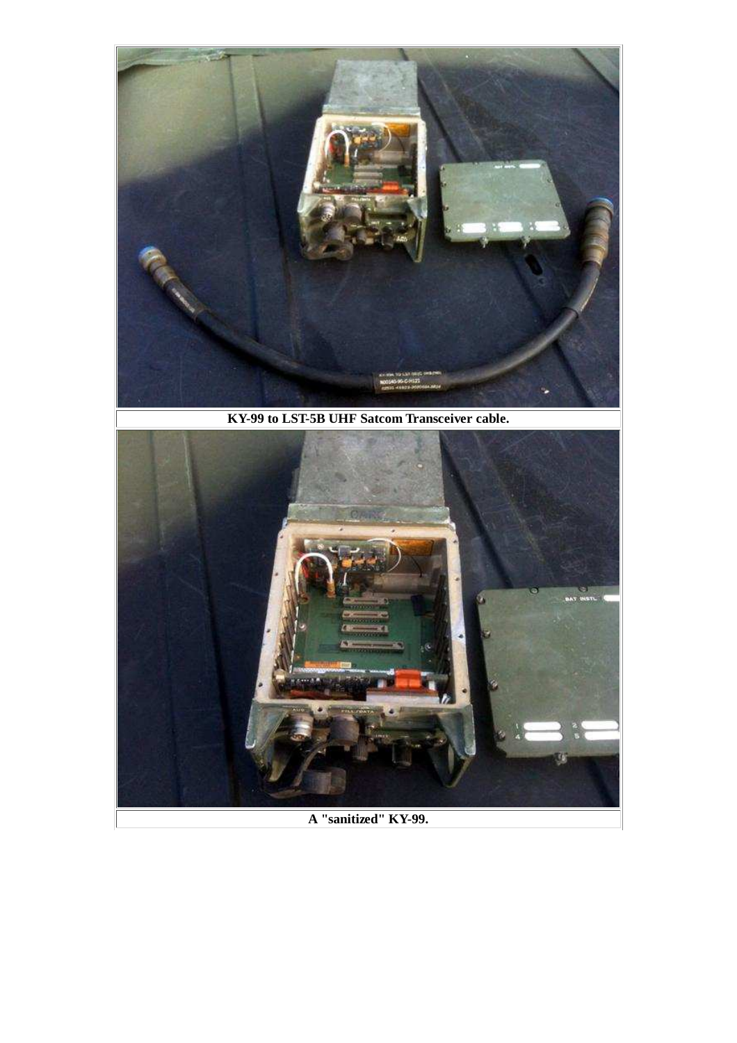

**KY-99 to LST-5B UHF Satcom Transceiver cable.**



**A "sanitized" KY-99.**